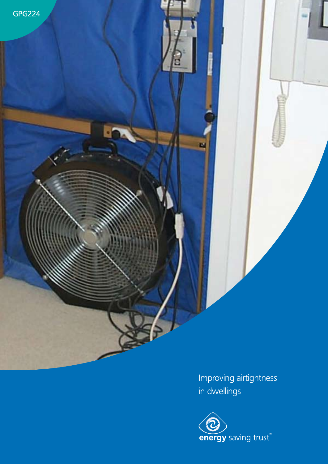GPG224

Improving airtightness in dwellings

**DA** 

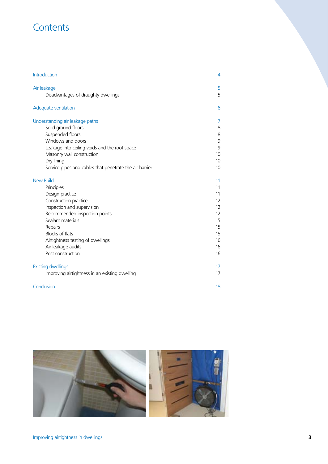# **Contents**

| Introduction                                            | 4  |
|---------------------------------------------------------|----|
| Air leakage                                             | 5  |
| Disadvantages of draughty dwellings                     | 5  |
| Adequate ventilation                                    | 6  |
| Understanding air leakage paths                         | 7  |
| Solid ground floors                                     | 8  |
| Suspended floors                                        | 8  |
| Windows and doors                                       | 9  |
| Leakage into ceiling voids and the roof space           | 9  |
| Masonry wall construction                               | 10 |
| Dry lining                                              | 10 |
| Service pipes and cables that penetrate the air barrier | 10 |
| <b>New Build</b>                                        | 11 |
| Principles                                              | 11 |
| Design practice                                         | 11 |
| Construction practice                                   | 12 |
| Inspection and supervision                              | 12 |
| Recommended inspection points                           | 12 |
| Sealant materials                                       | 15 |
| Repairs                                                 | 15 |
| Blocks of flats                                         | 15 |
| Airtightness testing of dwellings                       | 16 |
| Air leakage audits                                      | 16 |
| Post construction                                       | 16 |
| <b>Existing dwellings</b>                               | 17 |
| Improving airtightness in an existing dwelling          | 17 |
| Conclusion                                              | 18 |

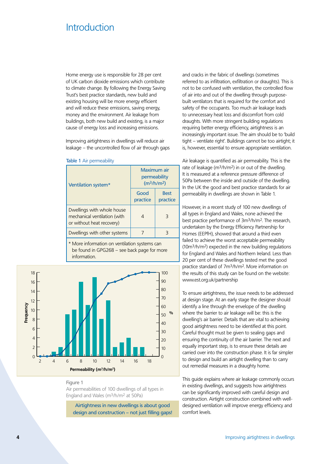# <span id="page-2-0"></span>**Introduction**

Home energy use is responsible for 28 per cent of UK carbon dioxide emissions which contribute to climate change. By following the Energy Saving Trust's best practice standards, new build and existing housing will be more energy efficient and will reduce these emissions, saving energy, money and the environment. Air leakage from buildings, both new build and existing, is a major cause of energy loss and increasing emissions.

Improving airtightness in dwellings will reduce air leakage – the uncontrolled flow of air through gaps

|  |  | Table 1 Air permeability |  |
|--|--|--------------------------|--|
|--|--|--------------------------|--|

| Ventilation system*                                                                     | Maximum air<br>permeability<br>(m <sup>3</sup> /h/m <sup>2</sup> ) |                         |
|-----------------------------------------------------------------------------------------|--------------------------------------------------------------------|-------------------------|
|                                                                                         | Good<br>practice                                                   | <b>Best</b><br>practice |
| Dwellings with whole house<br>mechanical ventilation (with<br>or without heat recovery) |                                                                    | З                       |
| Dwellings with other systems                                                            |                                                                    | 3                       |

\* More information on ventilation systems can be found in GPG268 – see back page for more information.



# Figure 1

Air permeabilities of 100 dwellings of all types in England and Wales (m3/h/m2 at 50Pa)

Airtightness in new dwellings is about good design and construction – not just filling gaps! and cracks in the fabric of dwellings (sometimes referred to as infiltration, exfiltration or draughts). This is not to be confused with ventilation, the controlled flow of air into and out of the dwelling through purposebuilt ventilators that is required for the comfort and safety of the occupants. Too much air leakage leads to unnecessary heat loss and discomfort from cold draughts. With more stringent building regulations requiring better energy efficiency, airtightness is an increasingly important issue. The aim should be to 'build tight – ventilate right'. Buildings cannot be too airtight; it is, however, essential to ensure appropriate ventilation.

Air leakage is quantified as air permeability. This is the rate of leakage (m3/h/m2) in or out of the dwelling. It is measured at a reference pressure difference of 50Pa between the inside and outside of the dwelling. In the UK the good and best practice standards for air permeability in dwellings are shown in Table 1.

However, in a recent study of 100 new dwellings of all types in England and Wales, none achieved the best practice performance of 3m3/h/m2. The research, undertaken by the Energy Efficiency Partnership for Homes (EEPfH), showed that around a third even failed to achieve the worst acceptable permeability (10m3/h/m2) expected in the new building regulations for England and Wales and Northern Ireland. Less than 20 per cent of these dwellings tested met the good practice standard of 7m3/h/m2. More information on the results of this study can be found on the website: www.est.org.uk/partnership

To ensure airtightness, the issue needs to be addressed at design stage. At an early stage the designer should identify a line through the envelope of the dwelling where the barrier to air leakage will be: this is the dwelling's air barrier. Details that are vital to achieving good airtightness need to be identified at this point. Careful thought must be given to sealing gaps and ensuring the continuity of the air barrier. The next and equally important step, is to ensure these details are carried over into the construction phase. It is far simpler to design and build an airtight dwelling than to carry out remedial measures in a draughty home.

This guide explains where air leakage commonly occurs in existing dwellings, and suggests how airtightness can be significantly improved with careful design and construction. Airtight construction combined with welldesigned ventilation will improve energy efficiency and comfort levels.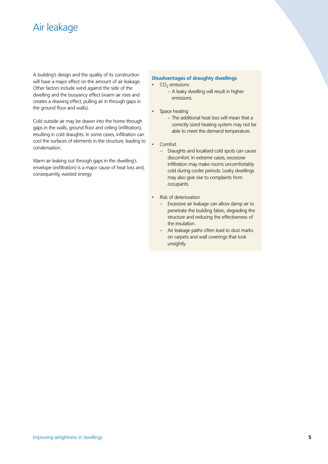# <span id="page-3-0"></span>Air leakage

A building's design and the quality of its construction will have a major effect on the amount of air leakage. Other factors include wind against the side of the dwelling and the buoyancy effect (warm air rises and creates a drawing effect, pulling air in through gaps in the ground floor and walls).

Cold outside air may be drawn into the home through gaps in the walls, ground floor and ceiling (infiltration), resulting in cold draughts. In some cases, infiltration can cool the surfaces of elements in the structure, leading to condensation.

Warm air leaking out through gaps in the dwelling's envelope (exfiltration) is a major cause of heat loss and, consequently, wasted energy.

# **Disadvantages of draughty dwellings**

 $\cdot$  CO<sub>2</sub> emissions

- A leaky dwelling will result in higher emissions.
- Space heating
	- The additional heat loss will mean that a correctly sized heating system may not be able to meet the demand temperature.
- Comfort
	- Draughts and localised cold spots can cause discomfort. In extreme cases, excessive infiltration may make rooms uncomfortably cold during cooler periods. Leaky dwellings may also give rise to complaints from occupants.
- **Risk of deterioration** 
	- Excessive air leakage can allow damp air to penetrate the building fabric, degrading the structure and reducing the effectiveness of the insulation.
	- Air leakage paths often lead to dust marks on carpets and wall coverings that look unsightly.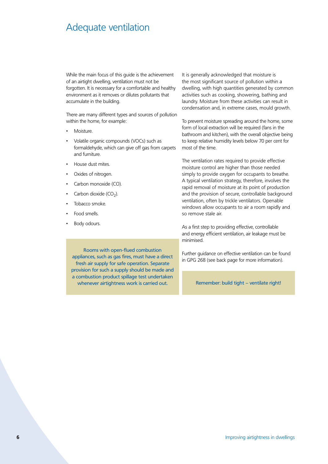# <span id="page-4-0"></span>Adequate ventilation

While the main focus of this guide is the achievement of an airtight dwelling, ventilation must not be forgotten. It is necessary for a comfortable and healthy environment as it removes or dilutes pollutants that accumulate in the building.

There are many different types and sources of pollution within the home, for example:

- Moisture.
- Volatile organic compounds (VOCs) such as formaldehyde, which can give off gas from carpets and furniture.

Rooms with open-flued combustion appliances, such as gas fires, must have a direct fresh air supply for safe operation. Separate provision for such a supply should be made and a combustion product spillage test undertaken whenever airtightness work is carried out.

- House dust mites.
- Oxides of nitrogen.
- Carbon monoxide (CO).
- Carbon dioxide  $(CO<sub>2</sub>)$ .
- Tobacco smoke.
- Food smells.
- Body odours.

It is generally acknowledged that moisture is the most significant source of pollution within a dwelling, with high quantities generated by common activities such as cooking, showering, bathing and laundry. Moisture from these activities can result in condensation and, in extreme cases, mould growth.

To prevent moisture spreading around the home, some form of local extraction will be required (fans in the bathroom and kitchen), with the overall objective being to keep relative humidity levels below 70 per cent for most of the time.

The ventilation rates required to provide effective moisture control are higher than those needed simply to provide oxygen for occupants to breathe. A typical ventilation strategy, therefore, involves the rapid removal of moisture at its point of production and the provision of secure, controllable background ventilation, often by trickle ventilators. Openable windows allow occupants to air a room rapidly and so remove stale air.

As a first step to providing effective, controllable and energy efficient ventilation, air leakage must be minimised.

Further guidance on effective ventilation can be found in GPG 268 (see back page for more information).

Remember: build tight – ventilate right!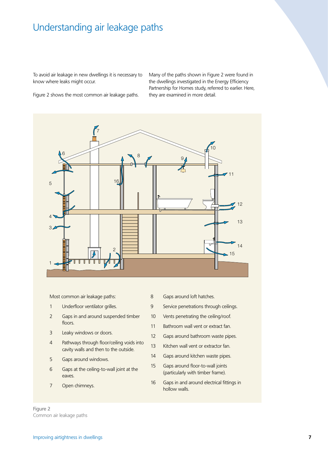# <span id="page-5-0"></span>Understanding air leakage paths

To avoid air leakage in new dwellings it is necessary to know where leaks might occur.

Many of the paths shown in Figure 2 were found in the dwellings investigated in the Energy Efficiency Partnership for Homes study, referred to earlier. Here, they are examined in more detail.

Figure 2 shows the most common air leakage paths.



Most common air leakage paths:

- 1 Underfloor ventilator grilles. 2 Gaps in and around suspended timber floors.
- 3 Leaky windows or doors.
- 4 Pathways through floor/ceiling voids into cavity walls and then to the outside.
- 5 Gaps around windows.
- 6 Gaps at the ceiling-to-wall joint at the eaves.
- 7 Open chimneys.
- 8 Gaps around loft hatches.
- 9 Service penetrations through ceilings.
- 10 Vents penetrating the ceiling/roof.
- 11 Bathroom wall vent or extract fan.
- 12 Gaps around bathroom waste pipes.
- 13 Kitchen wall vent or extractor fan.
- 14 Gaps around kitchen waste pipes.
- 15 Gaps around floor-to-wall joints (particularly with timber frame).
- 16 Gaps in and around electrical fittings in hollow walls.

Figure 2 Common air leakage paths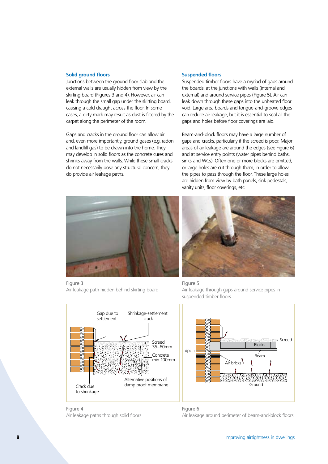### <span id="page-6-0"></span>**Solid ground floors**

Junctions between the ground floor slab and the external walls are usually hidden from view by the skirting board (Figures 3 and 4). However, air can leak through the small gap under the skirting board, causing a cold draught across the floor. In some cases, a dirty mark may result as dust is filtered by the carpet along the perimeter of the room.

Gaps and cracks in the ground floor can allow air and, even more importantly, ground gases (e.g. radon and landfill gas) to be drawn into the home. They may develop in solid floors as the concrete cures and shrinks away from the walls. While these small cracks do not necessarily pose any structural concern, they do provide air leakage paths.

# **Suspended floors**

Suspended timber floors have a myriad of gaps around the boards, at the junctions with walls (internal and external) and around service pipes (Figure 5). Air can leak down through these gaps into the unheated floor void. Large area boards and tongue-and-groove edges can reduce air leakage, but it is essential to seal all the gaps and holes before floor coverings are laid.

Beam-and-block floors may have a large number of gaps and cracks, particularly if the screed is poor. Major areas of air leakage are around the edges (see Figure 6) and at service entry points (water pipes behind baths, sinks and WCs). Often one or more blocks are omitted, or large holes are cut through them, in order to allow the pipes to pass through the floor. These large holes are hidden from view by bath panels, sink pedestals, vanity units, floor coverings, etc.



Figure 3 Air leakage path hidden behind skirting board

Gap due to settlement

crack









Air leakage paths through solid floors

Crack due

Figure 6 Air leakage around perimeter of beam-and-block floors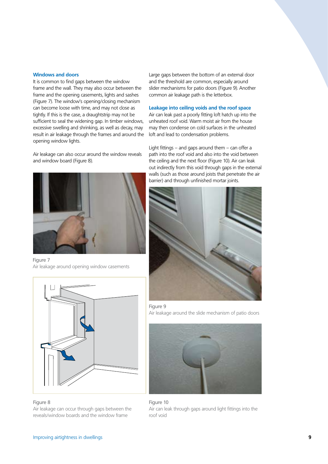#### <span id="page-7-0"></span>**Windows and doors**

It is common to find gaps between the window frame and the wall. They may also occur between the frame and the opening casements, lights and sashes (Figure 7). The window's opening/closing mechanism can become loose with time, and may not close as tightly. If this is the case, a draughtstrip may not be sufficient to seal the widening gap. In timber windows, excessive swelling and shrinking, as well as decay, may result in air leakage through the frames and around the opening window lights.

Air leakage can also occur around the window reveals and window board (Figure 8).



Figure 7 Air leakage around opening window casements



Figure 8 Air leakage can occur through gaps between the reveals/window boards and the window frame

Large gaps between the bottom of an external door and the threshold are common, especially around slider mechanisms for patio doors (Figure 9). Another common air leakage path is the letterbox.

### **Leakage into ceiling voids and the roof space**

Air can leak past a poorly fitting loft hatch up into the unheated roof void. Warm moist air from the house may then condense on cold surfaces in the unheated loft and lead to condensation problems.

Light fittings – and gaps around them – can offer a path into the roof void and also into the void between the ceiling and the next floor (Figure 10). Air can leak out indirectly from this void through gaps in the external walls (such as those around joists that penetrate the air barrier) and through unfinished mortar joints.







Figure 10 Air can leak through gaps around light fittings into the roof void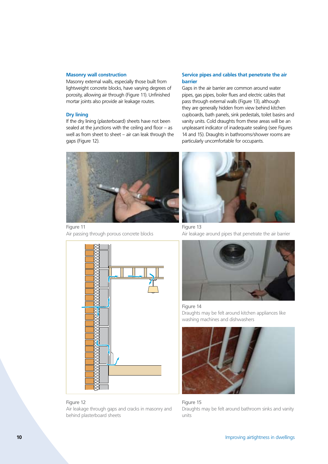### <span id="page-8-0"></span>**Masonry wall construction**

Masonry external walls, especially those built from lightweight concrete blocks, have varying degrees of porosity, allowing air through (Figure 11). Unfinished mortar joints also provide air leakage routes.

# **Dry lining**

If the dry lining (plasterboard) sheets have not been sealed at the junctions with the ceiling and floor – as well as from sheet to sheet – air can leak through the gaps (Figure 12).



Figure 11 Air passing through porous concrete blocks





# **Service pipes and cables that penetrate the air barrier**

Gaps in the air barrier are common around water pipes, gas pipes, boiler flues and electric cables that pass through external walls (Figure 13), although they are generally hidden from view behind kitchen cupboards, bath panels, sink pedestals, toilet basins and vanity units. Cold draughts from these areas will be an unpleasant indicator of inadequate sealing (see Figures 14 and 15). Draughts in bathrooms/shower rooms are particularly uncomfortable for occupants.



Figure 13 Air leakage around pipes that penetrate the air barrier



Figure 14 Draughts may be felt around kitchen appliances like washing machines and dishwashers



Figure 15 Draughts may be felt around bathroom sinks and vanity units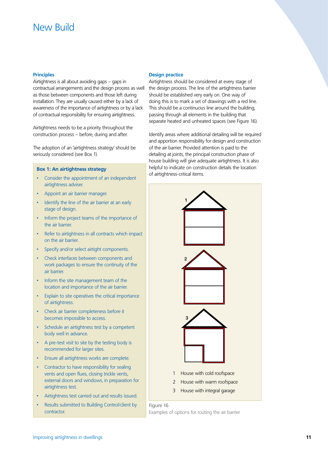# <span id="page-9-0"></span>New Build

### **Principles**

Airtightness is all about avoiding gaps – gaps in contractual arrangements and the design process as well as those between components and those left during installation. They are usually caused either by a lack of awareness of the importance of airtightness or by a lack of contractual responsibility for ensuring airtightness.

Airtightness needs to be a priority throughout the construction process – before, during and after.

The adoption of an 'airtightness strategy' should be seriously considered (see Box 1).

# **Box 1: An airtightness strategy**

- Consider the appointment of an independent airtightness adviser.
- Appoint an air barrier manager.
- Identify the line of the air barrier at an early stage of design.
- Inform the project teams of the importance of the air barrier.
- Refer to airtightness in all contracts which impact on the air barrier.
- Specify and/or select airtight components.
- Check interfaces between components and work packages to ensure the continuity of the air barrier.
- Inform the site management team of the location and importance of the air barrier.
- Explain to site operatives the critical importance of airtightness.
- Check air barrier completeness before it becomes impossible to access.
- Schedule an airtightness test by a competent body well in advance.
- A pre-test visit to site by the testing body is recommended for larger sites.
- Ensure all airtightness works are complete.
- Contractor to have responsibility for sealing vents and open flues, closing trickle vents, external doors and windows, in preparation for airtightness test.
- Airtightness test carried out and results issued.
- Results submitted to Building Control/client by contractor.

# **Design practice**

Airtightness should be considered at every stage of the design process. The line of the airtightness barrier should be established very early on. One way of doing this is to mark a set of drawings with a red line. This should be a continuous line around the building, passing through all elements in the building that separate heated and unheated spaces (see Figure 16).

Identify areas where additional detailing will be required and apportion responsibility for design and construction of the air barrier. Provided attention is paid to the detailing at joints, the principal construction phase of house building will give adequate airtightness. It is also helpful to indicate on construction details the location of airtightness-critical items.



Figure 16 Examples of options for routing the air barrier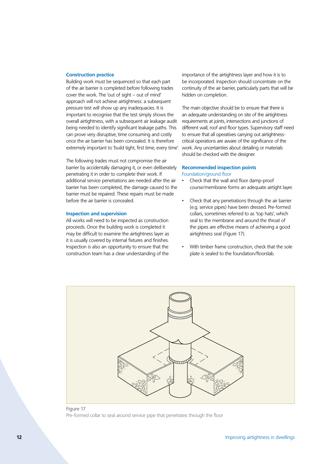# <span id="page-10-0"></span>**Construction practice**

Building work must be sequenced so that each part of the air barrier is completed before following trades cover the work. The 'out of sight – out of mind' approach will not achieve airtightness: a subsequent pressure test will show up any inadequacies. It is important to recognise that the test simply shows the overall airtightness, with a subsequent air leakage audit being needed to identify significant leakage paths. This can prove very disruptive, time consuming and costly once the air barrier has been concealed. It is therefore extremely important to 'build tight, first time, every time'. work. Any uncertainties about detailing or materials

The following trades must not compromise the air barrier by accidentally damaging it, or even deliberately penetrating it in order to complete their work. If additional service penetrations are needed after the air barrier has been completed, the damage caused to the barrier must be repaired. These repairs must be made before the air barrier is concealed.

# **Inspection and supervision**

All works will need to be inspected as construction proceeds. Once the building work is completed it may be difficult to examine the airtightness layer as it is usually covered by internal fixtures and finishes. Inspection is also an opportunity to ensure that the construction team has a clear understanding of the

importance of the airtightness layer and how it is to be incorporated. Inspection should concentrate on the continuity of the air barrier, particularly parts that will be hidden on completion.

The main objective should be to ensure that there is an adequate understanding on site of the airtightness requirements at joints, intersections and junctions of different wall, roof and floor types. Supervisory staff need to ensure that all operatives carrying out airtightnesscritical operations are aware of the significance of the should be checked with the designer.

# **Recommended inspection points** Foundation/ground floor

- Check that the wall and floor damp-proof course/membrane forms an adequate airtight layer.
- Check that any penetrations through the air barrier (e.g. service pipes) have been dressed. Pre-formed collars, sometimes referred to as 'top hats', which seal to the membrane and around the throat of the pipes are effective means of achieving a good airtightness seal (Figure 17).
- With timber frame construction, check that the sole plate is sealed to the foundation/floorslab.



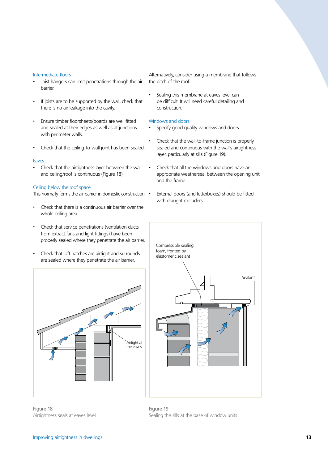#### Intermediate floors

- Joist hangers can limit penetrations through the air barrier.
- If joists are to be supported by the wall, check that there is no air leakage into the cavity.
- Ensure timber floorsheets/boards are well fitted and sealed at their edges as well as at junctions with perimeter walls.
- Check that the ceiling-to-wall joint has been sealed.

#### Eaves

• Check that the airtightness layer between the wall and ceiling/roof is continuous (Figure 18).

#### Ceiling below the roof space.

This normally forms the air barrier in domestic construction. •

- Check that there is a continuous air barrier over the whole ceiling area.
- Check that service penetrations (ventilation ducts from extract fans and light fittings) have been properly sealed where they penetrate the air barrier.
- Check that loft hatches are airtight and surrounds are sealed where they penetrate the air barrier.



Figure 18 Airtightness seals at eaves level Alternatively, consider using a membrane that follows the pitch of the roof.

Sealing this membrane at eaves level can be difficult. It will need careful detailing and construction.

# Windows and doors

- Specify good quality windows and doors.
- Check that the wall-to-frame junction is properly sealed and continuous with the wall's airtightness layer, particularly at sills (Figure 19).
- Check that all the windows and doors have an appropriate weatherseal between the opening unit and the frame.
	- External doors (and letterboxes) should be fitted with draught excluders.



Figure 19 Sealing the sills at the base of window units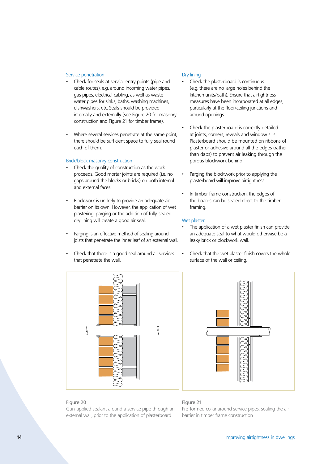# Service penetration

- Check for seals at service entry points (pipe and cable routes), e.g. around incoming water pipes, gas pipes, electrical cabling, as well as waste water pipes for sinks, baths, washing machines, dishwashers, etc. Seals should be provided internally and externally (see Figure 20 for masonry construction and Figure 21 for timber frame).
- Where several services penetrate at the same point, there should be sufficient space to fully seal round each of them.

### Brick/block masonry construction

- Check the quality of construction as the work proceeds. Good mortar joints are required (i.e. no gaps around the blocks or bricks) on both internal and external faces.
- Blockwork is unlikely to provide an adequate air barrier on its own. However, the application of wet plastering, parging or the addition of fully-sealed dry lining will create a good air seal.
- Parging is an effective method of sealing around joists that penetrate the inner leaf of an external wall.
- Check that there is a good seal around all services that penetrate the wall.

# Figure 20

Gun-applied sealant around a service pipe through an external wall, prior to the application of plasterboard

#### Dry lining

- Check the plasterboard is continuous (e.g. there are no large holes behind the kitchen units/bath). Ensure that airtightness measures have been incorporated at all edges, particularly at the floor/ceiling junctions and around openings.
- Check the plasterboard is correctly detailed at joints, corners, reveals and window sills. Plasterboard should be mounted on ribbons of plaster or adhesive around all the edges (rather than dabs) to prevent air leaking through the porous blockwork behind.
- Parging the blockwork prior to applying the plasterboard will improve airtightness.
- In timber frame construction, the edges of the boards can be sealed direct to the timber framing.

#### Wet plaster

- The application of a wet plaster finish can provide an adequate seal to what would otherwise be a leaky brick or blockwork wall.
- Check that the wet plaster finish covers the whole surface of the wall or ceiling.



# Figure 21

Pre-formed collar around service pipes, sealing the air barrier in timber frame construction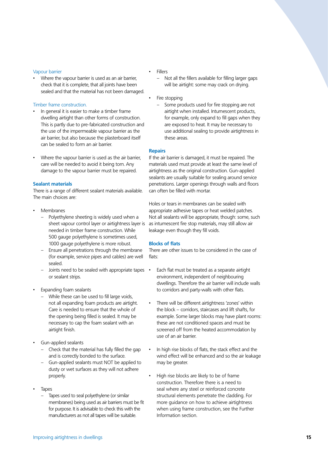# <span id="page-13-0"></span>Vapour barrier

• Where the vapour barrier is used as an air barrier, check that it is complete, that all joints have been sealed and that the material has not been damaged.

# Timber frame construction.

- In general it is easier to make a timber frame dwelling airtight than other forms of construction. This is partly due to pre-fabricated construction and the use of the impermeable vapour barrier as the air barrier, but also because the plasterboard itself can be sealed to form an air barrier.
- Where the vapour barrier is used as the air barrier, care will be needed to avoid it being torn. Any damage to the vapour barrier must be repaired.

# **Sealant materials**

There is a range of different sealant materials available. The main choices are:

- **Membranes** 
	- Polyethylene sheeting is widely used when a sheet vapour control layer or airtightness layer is needed in timber frame construction. While 500 gauge polyethylene is sometimes used, 1000 gauge polyethylene is more robust.
	- Ensure all penetrations through the membrane (for example, service pipes and cables) are well sealed.
	- Joints need to be sealed with appropriate tapes or sealant strips.
- Expanding foam sealants
	- While these can be used to fill large voids, not all expanding foam products are airtight. Care is needed to ensure that the whole of the opening being filled is sealed. It may be necessary to cap the foam sealant with an airtight finish.
- Gun-applied sealants
	- Check that the material has fully filled the gap and is correctly bonded to the surface.
	- Gun-applied sealants must NOT be applied to dusty or wet surfaces as they will not adhere properly.
- **Tapes** 
	- Tapes used to seal polyethylene (or similar membranes) being used as air barriers must be fit for purpose. It is advisable to check this with the manufacturers as not all tapes will be suitable.

# **Fillers**

- Not all the fillers available for filling larger gaps will be airtight: some may crack on drying.
- Fire stopping
	- Some products used for fire stopping are not airtight when installed. Intumescent products, for example, only expand to fill gaps when they are exposed to heat. It may be necessary to use additional sealing to provide airtightness in these areas.

### **Repairs**

If the air barrier is damaged, it must be repaired. The materials used must provide at least the same level of airtightness as the original construction. Gun-applied sealants are usually suitable for sealing around service penetrations. Larger openings through walls and floors can often be filled with mortar.

Holes or tears in membranes can be sealed with appropriate adhesive tapes or heat welded patches. Not all sealants will be appropriate, though: some, such as intumescent fire stop materials, may still allow air leakage even though they fill voids.

# **Blocks of flats**

There are other issues to be considered in the case of flats:

- Each flat must be treated as a separate airtight environment, independent of neighbouring dwellings. Therefore the air barrier will include walls to corridors and party-walls with other flats.
	- There will be different airtightness 'zones' within the block – corridors, staircases and lift shafts, for example. Some larger blocks may have plant rooms: these are not conditioned spaces and must be screened off from the heated accommodation by use of an air barrier.
- In high rise blocks of flats, the stack effect and the wind effect will be enhanced and so the air leakage may be greater.
- High rise blocks are likely to be of frame construction. Therefore there is a need to seal where any steel or reinforced concrete structural elements penetrate the cladding. For more guidance on how to achieve airtightness when using frame construction, see the Further Information section.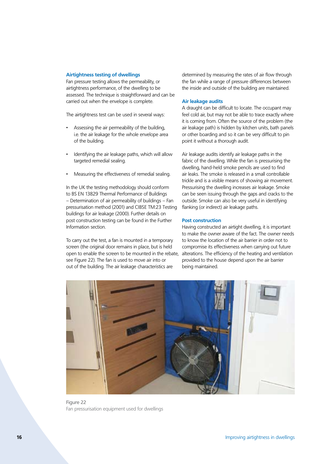### <span id="page-14-0"></span>**Airtightness testing of dwellings**

Fan pressure testing allows the permeability, or airtightness performance, of the dwelling to be assessed. The technique is straightforward and can be carried out when the envelope is complete.

The airtightness test can be used in several ways:

- Assessing the air permeability of the building, i.e. the air leakage for the whole envelope area of the building.
- Identifying the air leakage paths, which will allow targeted remedial sealing.
- Measuring the effectiveness of remedial sealing.

In the UK the testing methodology should conform to BS EN 13829 Thermal Performance of Buildings – Determination of air permeability of buildings – Fan pressurisation method (2001) and CIBSE TM:23 Testing buildings for air leakage (2000). Further details on post construction testing can be found in the Further Information section.

To carry out the test, a fan is mounted in a temporary screen (the original door remains in place, but is held open to enable the screen to be mounted in the rebate, see Figure 22). The fan is used to move air into or out of the building. The air leakage characteristics are

determined by measuring the rates of air flow through the fan while a range of pressure differences between the inside and outside of the building are maintained.

#### **Air leakage audits**

A draught can be difficult to locate. The occupant may feel cold air, but may not be able to trace exactly where it is coming from. Often the source of the problem (the air leakage path) is hidden by kitchen units, bath panels or other boarding and so it can be very difficult to pin point it without a thorough audit.

Air leakage audits identify air leakage paths in the fabric of the dwelling. While the fan is pressurising the dwelling, hand-held smoke pencils are used to find air leaks. The smoke is released in a small controllable trickle and is a visible means of showing air movement. Pressurising the dwelling increases air leakage. Smoke can be seen issuing through the gaps and cracks to the outside. Smoke can also be very useful in identifying flanking (or indirect) air leakage paths.

### **Post construction**

Having constructed an airtight dwelling, it is important to make the owner aware of the fact. The owner needs to know the location of the air barrier in order not to compromise its effectiveness when carrying out future alterations. The efficiency of the heating and ventilation provided to the house depend upon the air barrier being maintained.



Figure 22 Fan pressurisation equipment used for dwellings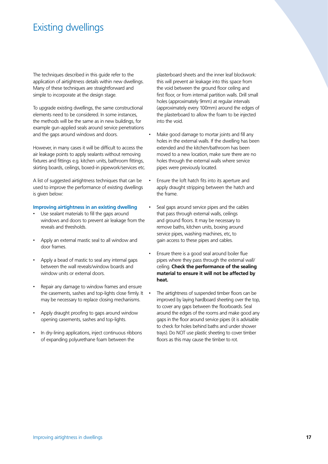# <span id="page-15-0"></span>Existing dwellings

The techniques described in this guide refer to the application of airtightness details within new dwellings. Many of these techniques are straightforward and simple to incorporate at the design stage.

To upgrade existing dwellings, the same constructional elements need to be considered. In some instances, the methods will be the same as in new buildings, for example gun-applied seals around service penetrations and the gaps around windows and doors.

However, in many cases it will be difficult to access the air leakage points to apply sealants without removing fixtures and fittings e.g. kitchen units, bathroom fittings, skirting boards, ceilings, boxed-in pipework/services etc.

A list of suggested airtightness techniques that can be used to improve the performance of existing dwellings is given below:

### **Improving airtightness in an existing dwelling**

- Use sealant materials to fill the gaps around windows and doors to prevent air leakage from the reveals and thresholds.
- Apply an external mastic seal to all window and door frames.
- Apply a bead of mastic to seal any internal gaps between the wall reveals/window boards and window units or external doors.
- Repair any damage to window frames and ensure the casements, sashes and top-lights close firmly. It may be necessary to replace closing mechanisms.
- Apply draught proofing to gaps around window opening casements, sashes and top-lights.
- In dry-lining applications, inject continuous ribbons of expanding polyurethane foam between the

plasterboard sheets and the inner leaf blockwork: this will prevent air leakage into this space from the void between the ground floor ceiling and first floor, or from internal partition walls. Drill small holes (approximately 9mm) at regular intervals (approximately every 100mm) around the edges of the plasterboard to allow the foam to be injected into the void.

- Make good damage to mortar joints and fill any holes in the external walls. If the dwelling has been extended and the kitchen/bathroom has been moved to a new location, make sure there are no holes through the external walls where service pipes were previously located.
- Ensure the loft hatch fits into its aperture and apply draught stripping between the hatch and the frame.
- Seal gaps around service pipes and the cables that pass through external walls, ceilings and ground floors. It may be necessary to remove baths, kitchen units, boxing around service pipes, washing machines, etc, to gain access to these pipes and cables.
- Ensure there is a good seal around boiler flue pipes where they pass through the external wall/ ceiling. **Check the performance of the sealing material to ensure it will not be affected by heat.**
- The airtightness of suspended timber floors can be improved by laying hardboard sheeting over the top, to cover any gaps between the floorboards. Seal around the edges of the rooms and make good any gaps in the floor around service pipes (it is advisable to check for holes behind baths and under shower trays). Do NOT use plastic sheeting to cover timber floors as this may cause the timber to rot.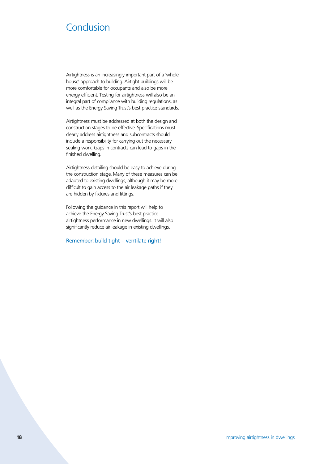# <span id="page-16-0"></span>Conclusion

Airtightness is an increasingly important part of a 'whole house' approach to building. Airtight buildings will be more comfortable for occupants and also be more energy efficient. Testing for airtightness will also be an integral part of compliance with building regulations, as well as the Energy Saving Trust's best practice standards.

Airtightness must be addressed at both the design and construction stages to be effective. Specifications must clearly address airtightness and subcontracts should include a responsibility for carrying out the necessary sealing work. Gaps in contracts can lead to gaps in the finished dwelling.

Airtightness detailing should be easy to achieve during the construction stage. Many of these measures can be adapted to existing dwellings, although it may be more difficult to gain access to the air leakage paths if they are hidden by fixtures and fittings.

Following the guidance in this report will help to achieve the Energy Saving Trust's best practice airtightness performance in new dwellings. It will also significantly reduce air leakage in existing dwellings.

Remember: build tight – ventilate right!